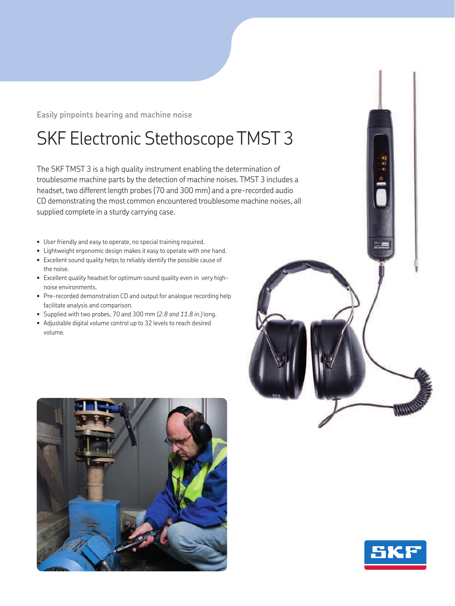**Easily pinpoints bearing and machine noise**

## SKF Electronic Stethoscope TMST 3

The SKF TMST 3 is a high quality instrument enabling the determination of troublesome machine parts by the detection of machine noises. TMST 3 includes a headset, two different length probes (70 and 300 mm) and a pre-recorded audio CD demonstrating the most common encountered troublesome machine noises, all supplied complete in a sturdy carrying case.

- User friendly and easy to operate, no special training required.
- Lightweight ergonomic design makes it easy to operate with one hand.
- Excellent sound quality helps to reliably identify the possible cause of the noise.
- Excellent quality headset for optimum sound quality even in very highnoise environments.
- Pre-recorded demonstration CD and output for analogue recording help facilitate analysis and comparison.
- Supplied with two probes, 70 and 300 mm *(2.8 and 11.8 in.)* long.
- Adjustable digital volume control up to 32 levels to reach desired volume.